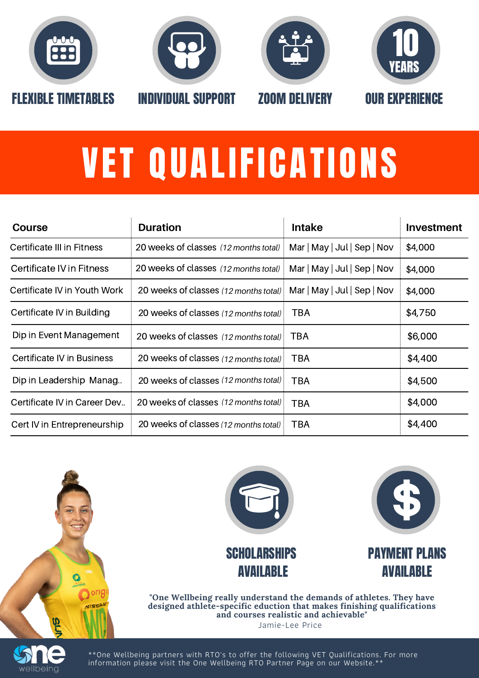

wellbeing







## VET QUALIFICATIONS

| Course                       | <b>Duration</b>                       | <b>Intake</b>                             | <b>Investment</b> |
|------------------------------|---------------------------------------|-------------------------------------------|-------------------|
| Certificate III in Fitness   | 20 weeks of classes (12 months total) | $Mar \mid May \mid Jul \mid Sep \mid Nov$ | \$4,000           |
| Certificate IV in Fitness    | 20 weeks of classes (12 months total) | Mar   May   Jul   Sep   Nov               | \$4,000           |
| Certificate IV in Youth Work | 20 weeks of classes (12 months total) | Mar   May   Jul   Sep   Nov               | \$4,000           |
| Certificate IV in Building   | 20 weeks of classes (12 months total) | TBA                                       | \$4,750           |
| Dip in Event Management      | 20 weeks of classes (12 months total) | TBA                                       | \$6,000           |
| Certificate IV in Business   | 20 weeks of classes (12 months total) | TBA                                       | \$4,400           |
| Dip in Leadership Manag      | 20 weeks of classes (12 months total) | TBA                                       | \$4,500           |
| Certificate IV in Career Dev | 20 weeks of classes (12 months total) | <b>TBA</b>                                | \$4,000           |
| Cert IV in Entrepreneurship  | 20 weeks of classes (12 months total) | TBA                                       | \$4,400           |



**designed athlete-specific eduction that makes finishing qualifications and courses realistic and achievable"** Jamie-Lee Price

\*\*One Wellbeing partners with RTO's to offer the following VET Qualifications. For more information please visit the One Wellbeing RTO Partner Page on our Website.\*\*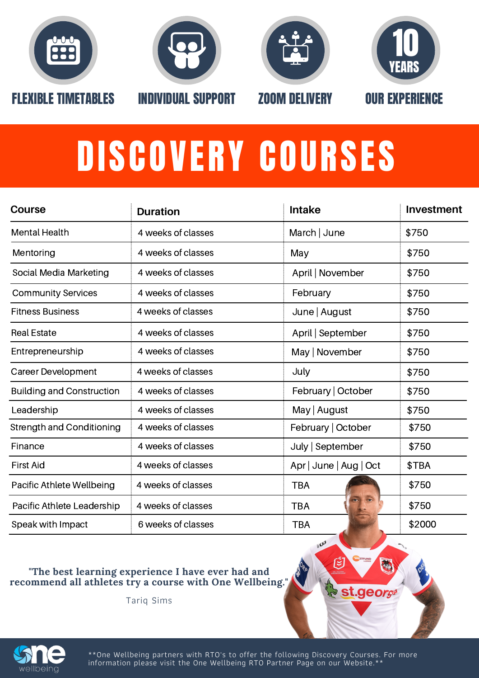







## DISCOVERY COURSES

| Course                           | <b>Duration</b>    | <b>Intake</b>          | <b>Investment</b> |
|----------------------------------|--------------------|------------------------|-------------------|
| <b>Mental Health</b>             | 4 weeks of classes | March $ $ June         | \$750             |
| Mentoring                        | 4 weeks of classes | May                    | \$750             |
| Social Media Marketing           | 4 weeks of classes | April   November       | \$750             |
| <b>Community Services</b>        | 4 weeks of classes | February               | \$750             |
| <b>Fitness Business</b>          | 4 weeks of classes | June   August          | \$750             |
| <b>Real Estate</b>               | 4 weeks of classes | April   September      | \$750             |
| Entrepreneurship                 | 4 weeks of classes | May   November         | \$750             |
| Career Development               | 4 weeks of classes | July                   | \$750             |
| <b>Building and Construction</b> | 4 weeks of classes | February   October     | \$750             |
| Leadership                       | 4 weeks of classes | May   August           | \$750             |
| <b>Strength and Conditioning</b> | 4 weeks of classes | February   October     | \$750             |
| Finance                          | 4 weeks of classes | July   September       | \$750             |
| <b>First Aid</b>                 | 4 weeks of classes | Apr   June   Aug   Oct | \$TBA             |
| Pacific Athlete Wellbeing        | 4 weeks of classes | <b>TBA</b>             | \$750             |
| Pacific Athlete Leadership       | 4 weeks of classes | <b>TBA</b>             | \$750             |
| Speak with Impact                | 6 weeks of classes | <b>TBA</b>             | \$2000            |

## **"The best learning experience I have ever had and recommend all athletes try a course with One Wellbeing."**

Tariq Sims





\*\*One Wellbeing partners with RTO's to offer the following Discovery Courses. For more information please visit the One Wellbeing RTO Partner Page on our Website.\*\*